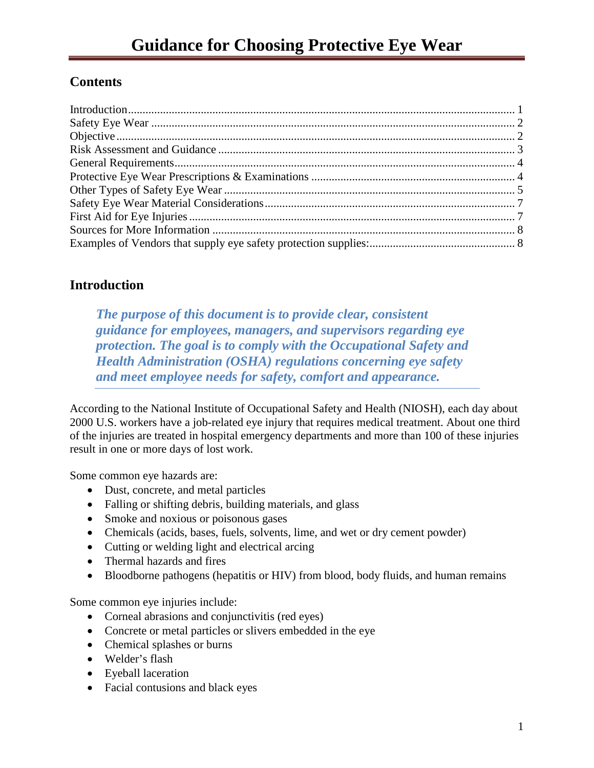# **Contents**

# <span id="page-0-0"></span>**Introduction**

*The purpose of this document is to provide clear, consistent guidance for employees, managers, and supervisors regarding eye protection. The goal is to comply with the Occupational Safety and Health Administration (OSHA) regulations concerning eye safety and meet employee needs for safety, comfort and appearance.*

According to the National Institute of Occupational Safety and Health (NIOSH), each day about 2000 U.S. workers have a job-related eye injury that requires medical treatment. About one third of the injuries are treated in hospital emergency departments and more than 100 of these injuries result in one or more days of lost work.

Some common eye hazards are:

- Dust, concrete, and metal particles
- Falling or shifting debris, building materials, and glass
- Smoke and noxious or poisonous gases
- Chemicals (acids, bases, fuels, solvents, lime, and wet or dry cement powder)
- Cutting or welding light and electrical arcing
- Thermal hazards and fires
- Bloodborne pathogens (hepatitis or HIV) from blood, body fluids, and human remains

Some common eye injuries include:

- Corneal abrasions and conjunctivitis (red eyes)
- Concrete or metal particles or slivers embedded in the eye
- Chemical splashes or burns
- Welder's flash
- Eyeball laceration
- Facial contusions and black eyes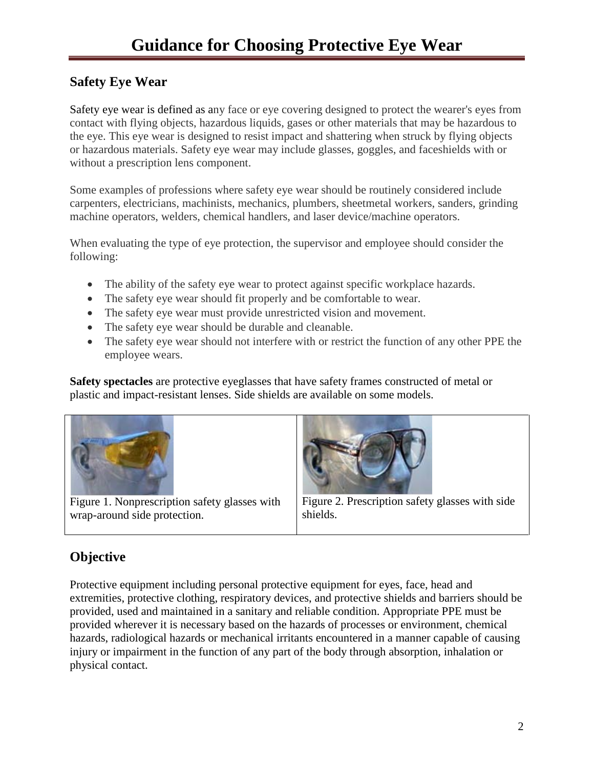# <span id="page-1-0"></span>**Safety Eye Wear**

Safety eye wear is defined as any face or eye covering designed to protect the wearer's eyes from contact with flying objects, hazardous liquids, gases or other materials that may be hazardous to the eye. This eye wear is designed to resist impact and shattering when struck by flying objects or hazardous materials. Safety eye wear may include glasses, goggles, and faceshields with or without a prescription lens component.

Some examples of professions where safety eye wear should be routinely considered include carpenters, electricians, machinists, mechanics, plumbers, sheetmetal workers, sanders, grinding machine operators, welders, chemical handlers, and laser device/machine operators.

When evaluating the type of eye protection, the supervisor and employee should consider the following:

- The ability of the safety eye wear to protect against specific workplace hazards.
- The safety eye wear should fit properly and be comfortable to wear.
- The safety eye wear must provide unrestricted vision and movement.
- The safety eye wear should be durable and cleanable.
- The safety eye wear should not interfere with or restrict the function of any other PPE the employee wears.

**Safety spectacles** are protective eyeglasses that have safety frames constructed of metal or plastic and impact-resistant lenses. Side shields are available on some models.



Figure 1. Nonprescription safety glasses with wrap-around side protection.



Figure 2. Prescription safety glasses with side shields.

# <span id="page-1-1"></span>**Objective**

Protective equipment including personal protective equipment for eyes, face, head and extremities, protective clothing, respiratory devices, and protective shields and barriers should be provided, used and maintained in a sanitary and reliable condition. Appropriate PPE must be provided wherever it is necessary based on the hazards of processes or environment, chemical hazards, radiological hazards or mechanical irritants encountered in a manner capable of causing injury or impairment in the function of any part of the body through absorption, inhalation or physical contact.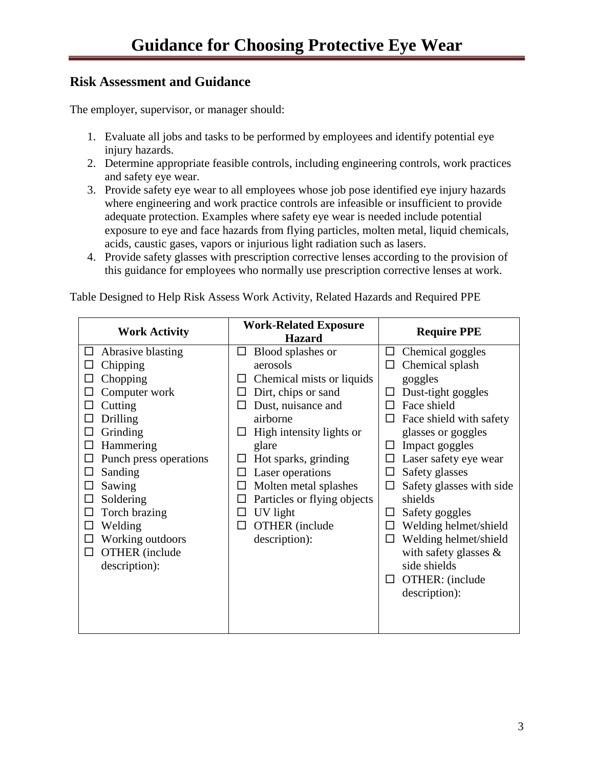## <span id="page-2-0"></span>**Risk Assessment and Guidance**

The employer, supervisor, or manager should:

- 1. Evaluate all jobs and tasks to be performed by employees and identify potential eye injury hazards.
- 2. Determine appropriate feasible controls, including engineering controls, work practices and safety eye wear.
- 3. Provide safety eye wear to all employees whose job pose identified eye injury hazards where engineering and work practice controls are infeasible or insufficient to provide adequate protection. Examples where safety eye wear is needed include potential exposure to eye and face hazards from flying particles, molten metal, liquid chemicals, acids, caustic gases, vapors or injurious light radiation such as lasers.
- 4. Provide safety glasses with prescription corrective lenses according to the provision of this guidance for employees who normally use prescription corrective lenses at work.

Table Designed to Help Risk Assess Work Activity, Related Hazards and Required PPE

| <b>Work Activity</b>                                                                                                                                                                                                                                                                           | <b>Work-Related Exposure</b><br><b>Hazard</b>                                                                                                                                                                                                                                                                                                             | <b>Require PPE</b>                                                                                                                                                                                                                                                                                                                                                                                                                                                                          |
|------------------------------------------------------------------------------------------------------------------------------------------------------------------------------------------------------------------------------------------------------------------------------------------------|-----------------------------------------------------------------------------------------------------------------------------------------------------------------------------------------------------------------------------------------------------------------------------------------------------------------------------------------------------------|---------------------------------------------------------------------------------------------------------------------------------------------------------------------------------------------------------------------------------------------------------------------------------------------------------------------------------------------------------------------------------------------------------------------------------------------------------------------------------------------|
| Abrasive blasting<br>ப<br>Chipping<br>Chopping<br>Computer work<br>Cutting<br>Drilling<br>Grinding<br>Hammering<br>Punch press operations<br>Sanding<br>Sawing<br>Soldering<br>∟<br>Torch brazing<br>Welding<br>Working outdoors<br>$\Box$<br><b>OTHER</b> (include<br>$\Box$<br>description): | Blood splashes or<br>ΙI<br>aerosols<br>Chemical mists or liquids<br>$\mathsf{L}$<br>Dirt, chips or sand<br>ΙI<br>Dust, nuisance and<br>ΙI<br>airborne<br>High intensity lights or<br>ப<br>glare<br>Hot sparks, grinding<br>Laser operations<br>Molten metal splashes<br>Particles or flying objects<br>UV light<br><b>OTHER</b> (include<br>description): | Chemical goggles<br>ப<br>Chemical splash<br>$\Box$<br>goggles<br>Dust-tight goggles<br>П<br>Face shield<br>П<br>Face shield with safety<br>$\Box$<br>glasses or goggles<br>Impact goggles<br>ப<br>Laser safety eye wear<br>$\Box$<br>Safety glasses<br>$\Box$<br>Safety glasses with side<br>$\Box$<br>shields<br>Safety goggles<br>ப<br>Welding helmet/shield<br>□<br>Welding helmet/shield<br>□<br>with safety glasses $\&$<br>side shields<br>OTHER: (include<br>$\Box$<br>description): |
|                                                                                                                                                                                                                                                                                                |                                                                                                                                                                                                                                                                                                                                                           |                                                                                                                                                                                                                                                                                                                                                                                                                                                                                             |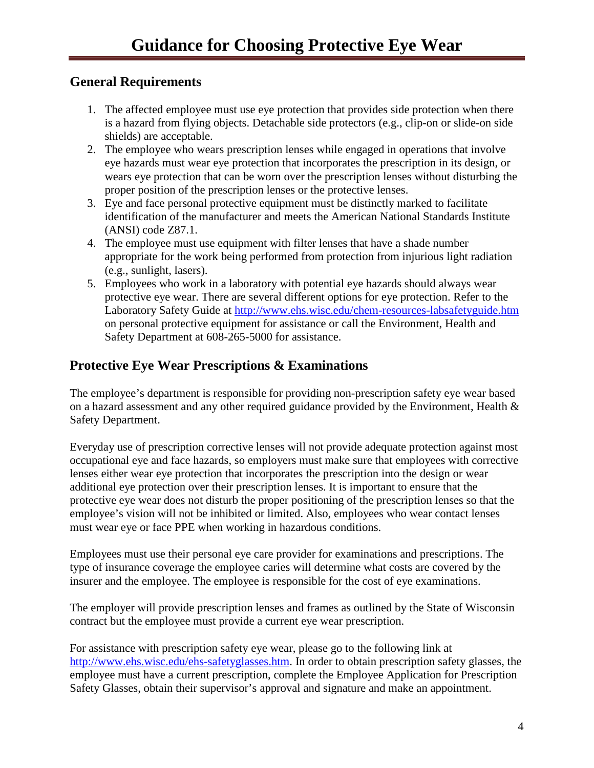### <span id="page-3-0"></span>**General Requirements**

- 1. The affected employee must use eye protection that provides side protection when there is a hazard from flying objects. Detachable side protectors (e.g., clip-on or slide-on side shields) are acceptable.
- 2. The employee who wears prescription lenses while engaged in operations that involve eye hazards must wear eye protection that incorporates the prescription in its design, or wears eye protection that can be worn over the prescription lenses without disturbing the proper position of the prescription lenses or the protective lenses.
- 3. Eye and face personal protective equipment must be distinctly marked to facilitate identification of the manufacturer and meets the American National Standards Institute (ANSI) code Z87.1.
- 4. The employee must use equipment with filter lenses that have a shade number appropriate for the work being performed from protection from injurious light radiation (e.g., sunlight, lasers).
- 5. Employees who work in a laboratory with potential eye hazards should always wear protective eye wear. There are several different options for eye protection. Refer to the Laboratory Safety Guide at<http://www.ehs.wisc.edu/chem-resources-labsafetyguide.htm> on personal protective equipment for assistance or call the Environment, Health and Safety Department at 608-265-5000 for assistance.

## <span id="page-3-1"></span>**Protective Eye Wear Prescriptions & Examinations**

The employee's department is responsible for providing non-prescription safety eye wear based on a hazard assessment and any other required guidance provided by the Environment, Health & Safety Department.

Everyday use of prescription corrective lenses will not provide adequate protection against most occupational eye and face hazards, so employers must make sure that employees with corrective lenses either wear eye protection that incorporates the prescription into the design or wear additional eye protection over their prescription lenses. It is important to ensure that the protective eye wear does not disturb the proper positioning of the prescription lenses so that the employee's vision will not be inhibited or limited. Also, employees who wear contact lenses must wear eye or face PPE when working in hazardous conditions.

Employees must use their personal eye care provider for examinations and prescriptions. The type of insurance coverage the employee caries will determine what costs are covered by the insurer and the employee. The employee is responsible for the cost of eye examinations.

The employer will provide prescription lenses and frames as outlined by the State of Wisconsin contract but the employee must provide a current eye wear prescription.

For assistance with prescription safety eye wear, please go to the following link at [http://www.ehs.wisc.edu/ehs-safetyglasses.htm.](http://www.ehs.wisc.edu/ehs-safetyglasses.htm) In order to obtain prescription safety glasses, the employee must have a current prescription, complete the Employee Application for Prescription Safety Glasses, obtain their supervisor's approval and signature and make an appointment.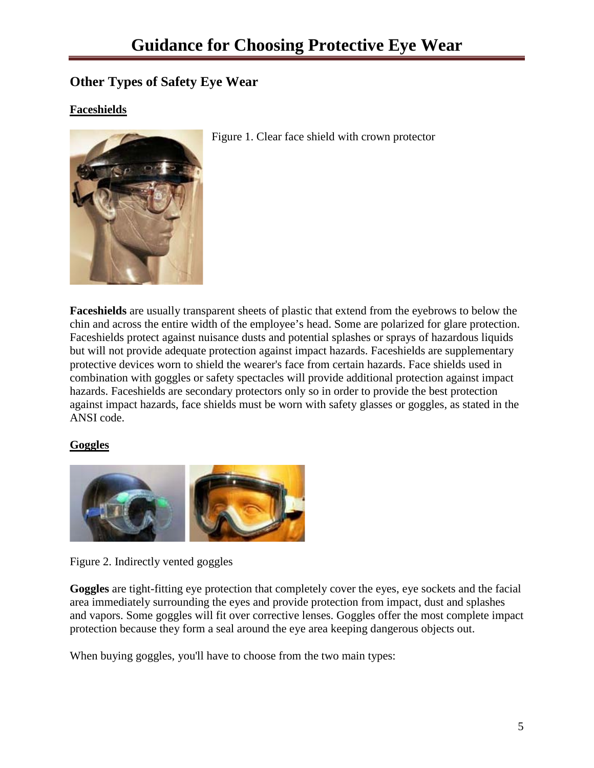# <span id="page-4-0"></span>**Other Types of Safety Eye Wear**

### **Faceshields**



Figure 1. Clear face shield with crown protector

**Faceshields** are usually transparent sheets of plastic that extend from the eyebrows to below the chin and across the entire width of the employee's head. Some are polarized for glare protection. Faceshields protect against nuisance dusts and potential splashes or sprays of hazardous liquids but will not provide adequate protection against impact hazards. Faceshields are supplementary protective devices worn to shield the wearer's face from certain hazards. Face shields used in combination with goggles or safety spectacles will provide additional protection against impact hazards. Faceshields are secondary protectors only so in order to provide the best protection against impact hazards, face shields must be worn with safety glasses or goggles, as stated in the ANSI code.

#### **Goggles**



Figure 2. Indirectly vented goggles

**Goggles** are tight-fitting eye protection that completely cover the eyes, eye sockets and the facial area immediately surrounding the eyes and provide protection from impact, dust and splashes and vapors. Some goggles will fit over corrective lenses. Goggles offer the most complete impact protection because they form a seal around the eye area keeping dangerous objects out.

When buying goggles, you'll have to choose from the two main types: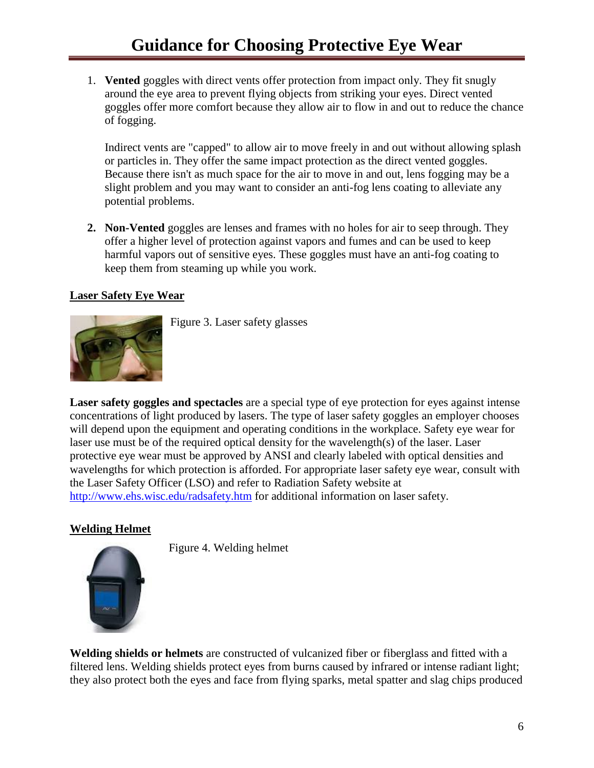1. **Vented** goggles with direct vents offer protection from impact only. They fit snugly around the eye area to prevent flying objects from striking your eyes. Direct vented goggles offer more comfort because they allow air to flow in and out to reduce the chance of fogging.

Indirect vents are "capped" to allow air to move freely in and out without allowing splash or particles in. They offer the same impact protection as the direct vented goggles. Because there isn't as much space for the air to move in and out, lens fogging may be a slight problem and you may want to consider an anti-fog lens coating to alleviate any potential problems.

**2. Non-Vented** goggles are lenses and frames with no holes for air to seep through. They offer a higher level of protection against vapors and fumes and can be used to keep harmful vapors out of sensitive eyes. These goggles must have an anti-fog coating to keep them from steaming up while you work.

#### **Laser Safety Eye Wear**



Figure 3. Laser safety glasses

**Laser safety goggles and spectacles** are a special type of eye protection for eyes against intense concentrations of light produced by lasers. The type of laser safety goggles an employer chooses will depend upon the equipment and operating conditions in the workplace. Safety eye wear for laser use must be of the required optical density for the wavelength(s) of the laser. Laser protective eye wear must be approved by ANSI and clearly labeled with optical densities and wavelengths for which protection is afforded. For appropriate laser safety eye wear, consult with the Laser Safety Officer (LSO) and refer to Radiation Safety website at <http://www.ehs.wisc.edu/radsafety.htm> for additional information on laser safety.

#### **Welding Helmet**



Figure 4. Welding helmet

**Welding shields or helmets** are constructed of vulcanized fiber or fiberglass and fitted with a filtered lens. Welding shields protect eyes from burns caused by infrared or intense radiant light; they also protect both the eyes and face from flying sparks, metal spatter and slag chips produced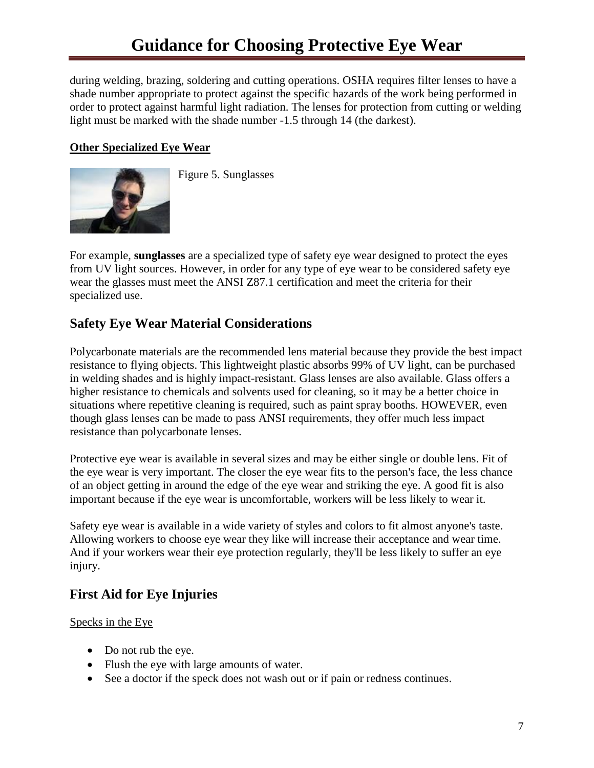during welding, brazing, soldering and cutting operations. OSHA requires filter lenses to have a shade number appropriate to protect against the specific hazards of the work being performed in order to protect against harmful light radiation. The lenses for protection from cutting or welding light must be marked with the shade number -1.5 through 14 (the darkest).

#### **Other Specialized Eye Wear**



Figure 5. Sunglasses

For example, **sunglasses** are a specialized type of safety eye wear designed to protect the eyes from UV light sources. However, in order for any type of eye wear to be considered safety eye wear the glasses must meet the ANSI Z87.1 certification and meet the criteria for their specialized use.

# <span id="page-6-0"></span>**Safety Eye Wear Material Considerations**

Polycarbonate materials are the recommended lens material because they provide the best impact resistance to flying objects. This lightweight plastic absorbs 99% of UV light, can be purchased in welding shades and is highly impact-resistant. Glass lenses are also available. Glass offers a higher resistance to chemicals and solvents used for cleaning, so it may be a better choice in situations where repetitive cleaning is required, such as paint spray booths. HOWEVER, even though glass lenses can be made to pass ANSI requirements, they offer much less impact resistance than polycarbonate lenses.

Protective eye wear is available in several sizes and may be either single or double lens. Fit of the eye wear is very important. The closer the eye wear fits to the person's face, the less chance of an object getting in around the edge of the eye wear and striking the eye. A good fit is also important because if the eye wear is uncomfortable, workers will be less likely to wear it.

Safety eye wear is available in a wide variety of styles and colors to fit almost anyone's taste. Allowing workers to choose eye wear they like will increase their acceptance and wear time. And if your workers wear their eye protection regularly, they'll be less likely to suffer an eye injury.

# <span id="page-6-1"></span>**First Aid for Eye Injuries**

Specks in the Eye

- Do not rub the eye.
- Flush the eye with large amounts of water.
- See a doctor if the speck does not wash out or if pain or redness continues.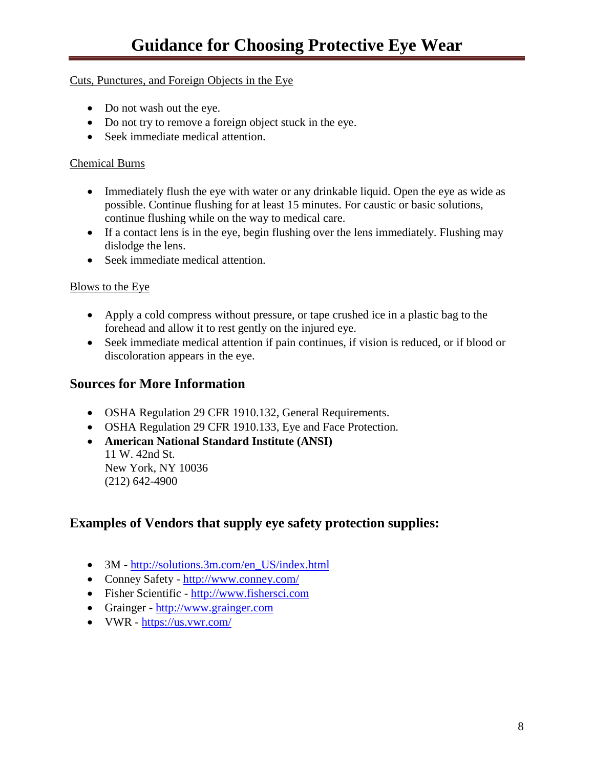#### Cuts, Punctures, and Foreign Objects in the Eye

- Do not wash out the eye.
- Do not try to remove a foreign object stuck in the eye.
- Seek immediate medical attention.

#### Chemical Burns

- Immediately flush the eye with water or any drinkable liquid. Open the eye as wide as possible. Continue flushing for at least 15 minutes. For caustic or basic solutions, continue flushing while on the way to medical care.
- If a contact lens is in the eye, begin flushing over the lens immediately. Flushing may dislodge the lens.
- Seek immediate medical attention.

#### Blows to the Eye

- Apply a cold compress without pressure, or tape crushed ice in a plastic bag to the forehead and allow it to rest gently on the injured eye.
- Seek immediate medical attention if pain continues, if vision is reduced, or if blood or discoloration appears in the eye.

### <span id="page-7-0"></span>**Sources for More Information**

- OSHA Regulation 29 CFR 1910.132, General Requirements.
- OSHA Regulation 29 CFR 1910.133, Eye and Face Protection.
- **American National Standard Institute (ANSI)**  11 W. 42nd St.
	- New York, NY 10036 (212) 642-4900

### <span id="page-7-1"></span>**Examples of Vendors that supply eye safety protection supplies:**

- 3M [http://solutions.3m.com/en\\_US/index.html](http://solutions.3m.com/en_US/index.html)
- Conney Safety <http://www.conney.com/>
- Fisher Scientific [http://www.fishersci.com](http://www.fishersci.com/)
- Grainger [http://www.grainger.com](http://www.grainger.com/)
- VWR <https://us.vwr.com/>